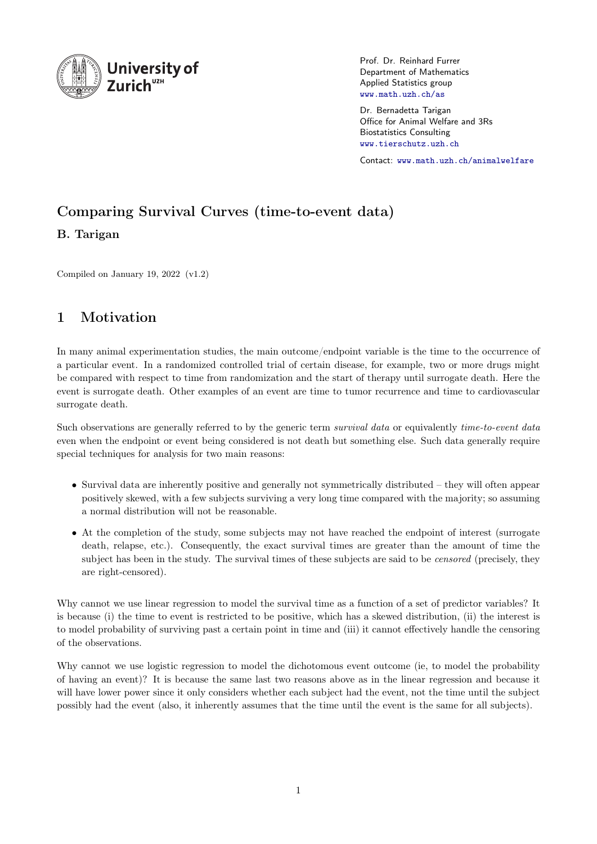

Prof. Dr. Reinhard Furrer Department of Mathematics Applied Statistics group <www.math.uzh.ch/as>

Dr. Bernadetta Tarigan Office for Animal Welfare and 3Rs Biostatistics Consulting <www.tierschutz.uzh.ch>

Contact: <www.math.uzh.ch/animalwelfare>

# Comparing Survival Curves (time-to-event data)

B. Tarigan

Compiled on January 19, 2022 (v1.2)

# 1 Motivation

In many animal experimentation studies, the main outcome/endpoint variable is the time to the occurrence of a particular event. In a randomized controlled trial of certain disease, for example, two or more drugs might be compared with respect to time from randomization and the start of therapy until surrogate death. Here the event is surrogate death. Other examples of an event are time to tumor recurrence and time to cardiovascular surrogate death.

Such observations are generally referred to by the generic term survival data or equivalently time-to-event data even when the endpoint or event being considered is not death but something else. Such data generally require special techniques for analysis for two main reasons:

- Survival data are inherently positive and generally not symmetrically distributed they will often appear positively skewed, with a few subjects surviving a very long time compared with the majority; so assuming a normal distribution will not be reasonable.
- At the completion of the study, some subjects may not have reached the endpoint of interest (surrogate death, relapse, etc.). Consequently, the exact survival times are greater than the amount of time the subject has been in the study. The survival times of these subjects are said to be *censored* (precisely, they are right-censored).

Why cannot we use linear regression to model the survival time as a function of a set of predictor variables? It is because (i) the time to event is restricted to be positive, which has a skewed distribution, (ii) the interest is to model probability of surviving past a certain point in time and (iii) it cannot effectively handle the censoring of the observations.

Why cannot we use logistic regression to model the dichotomous event outcome (ie, to model the probability of having an event)? It is because the same last two reasons above as in the linear regression and because it will have lower power since it only considers whether each subject had the event, not the time until the subject possibly had the event (also, it inherently assumes that the time until the event is the same for all subjects).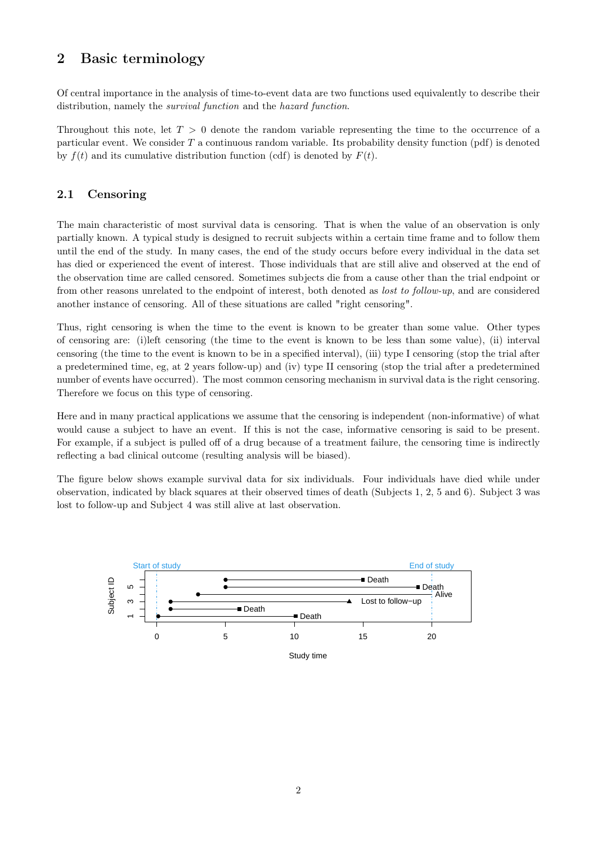# 2 Basic terminology

Of central importance in the analysis of time-to-event data are two functions used equivalently to describe their distribution, namely the *survival function* and the *hazard function*.

Throughout this note, let  $T > 0$  denote the random variable representing the time to the occurrence of a particular event. We consider  $T$  a continuous random variable. Its probability density function  $(pdf)$  is denoted by  $f(t)$  and its cumulative distribution function (cdf) is denoted by  $F(t)$ .

### 2.1 Censoring

The main characteristic of most survival data is censoring. That is when the value of an observation is only partially known. A typical study is designed to recruit subjects within a certain time frame and to follow them until the end of the study. In many cases, the end of the study occurs before every individual in the data set has died or experienced the event of interest. Those individuals that are still alive and observed at the end of the observation time are called censored. Sometimes subjects die from a cause other than the trial endpoint or from other reasons unrelated to the endpoint of interest, both denoted as lost to follow-up, and are considered another instance of censoring. All of these situations are called "right censoring".

Thus, right censoring is when the time to the event is known to be greater than some value. Other types of censoring are: (i)left censoring (the time to the event is known to be less than some value), (ii) interval censoring (the time to the event is known to be in a specified interval), (iii) type I censoring (stop the trial after a predetermined time, eg, at 2 years follow-up) and (iv) type II censoring (stop the trial after a predetermined number of events have occurred). The most common censoring mechanism in survival data is the right censoring. Therefore we focus on this type of censoring.

Here and in many practical applications we assume that the censoring is independent (non-informative) of what would cause a subject to have an event. If this is not the case, informative censoring is said to be present. For example, if a subject is pulled off of a drug because of a treatment failure, the censoring time is indirectly reflecting a bad clinical outcome (resulting analysis will be biased).

The figure below shows example survival data for six individuals. Four individuals have died while under observation, indicated by black squares at their observed times of death (Subjects 1, 2, 5 and 6). Subject 3 was lost to follow-up and Subject 4 was still alive at last observation.

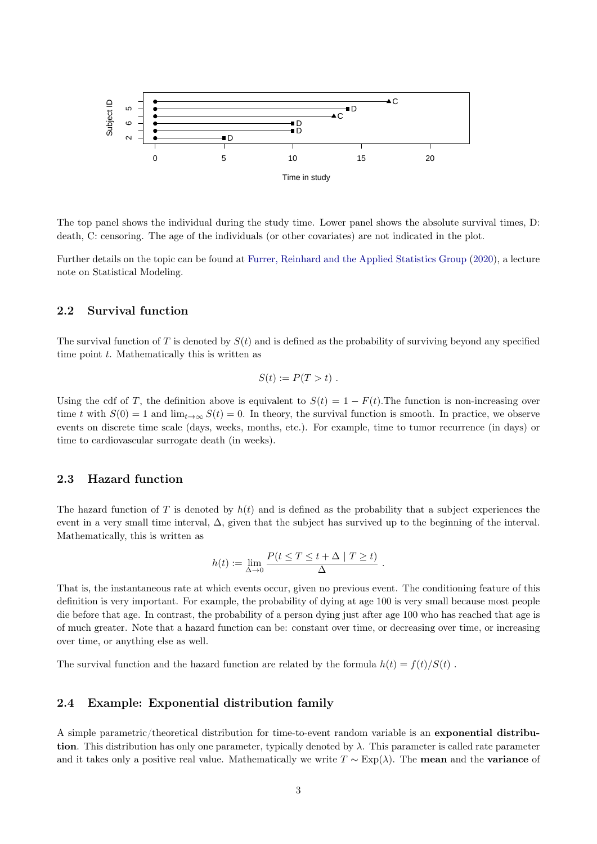

The top panel shows the individual during the study time. Lower panel shows the absolute survival times, D: death, C: censoring. The age of the individuals (or other covariates) are not indicated in the plot.

Further details on the topic can be found at [Furrer, Reinhard and the Applied Statistics Group](#page-9-0) [\(2020\)](#page-9-0), a lecture note on Statistical Modeling.

#### 2.2 Survival function

The survival function of T is denoted by  $S(t)$  and is defined as the probability of surviving beyond any specified time point  $t$ . Mathematically this is written as

$$
S(t) := P(T > t) .
$$

Using the cdf of T, the definition above is equivalent to  $S(t) = 1 - F(t)$ . The function is non-increasing over time t with  $S(0) = 1$  and  $\lim_{t\to\infty} S(t) = 0$ . In theory, the survival function is smooth. In practice, we observe events on discrete time scale (days, weeks, months, etc.). For example, time to tumor recurrence (in days) or time to cardiovascular surrogate death (in weeks).

#### 2.3 Hazard function

The hazard function of T is denoted by  $h(t)$  and is defined as the probability that a subject experiences the event in a very small time interval, ∆, given that the subject has survived up to the beginning of the interval. Mathematically, this is written as

$$
h(t) := \lim_{\Delta \to 0} \frac{P(t \le T \le t + \Delta \mid T \ge t)}{\Delta}.
$$

That is, the instantaneous rate at which events occur, given no previous event. The conditioning feature of this definition is very important. For example, the probability of dying at age 100 is very small because most people die before that age. In contrast, the probability of a person dying just after age 100 who has reached that age is of much greater. Note that a hazard function can be: constant over time, or decreasing over time, or increasing over time, or anything else as well.

The survival function and the hazard function are related by the formula  $h(t) = f(t)/S(t)$ .

#### 2.4 Example: Exponential distribution family

A simple parametric/theoretical distribution for time-to-event random variable is an exponential distribution. This distribution has only one parameter, typically denoted by  $\lambda$ . This parameter is called rate parameter and it takes only a positive real value. Mathematically we write  $T \sim \text{Exp}(\lambda)$ . The **mean** and the **variance** of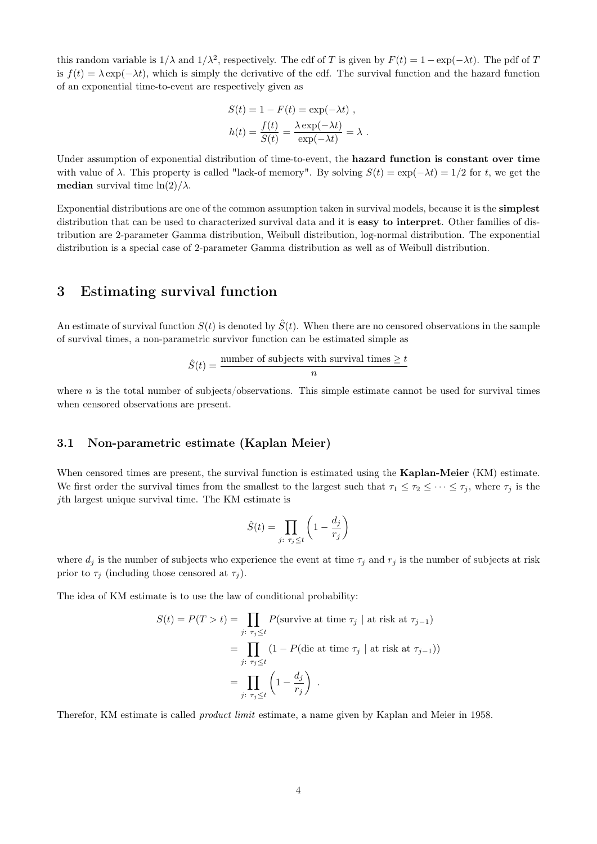this random variable is  $1/\lambda$  and  $1/\lambda^2$ , respectively. The cdf of T is given by  $F(t) = 1 - \exp(-\lambda t)$ . The pdf of T is  $f(t) = \lambda \exp(-\lambda t)$ , which is simply the derivative of the cdf. The survival function and the hazard function of an exponential time-to-event are respectively given as

$$
S(t) = 1 - F(t) = \exp(-\lambda t) ,
$$
  
\n
$$
h(t) = \frac{f(t)}{S(t)} = \frac{\lambda \exp(-\lambda t)}{\exp(-\lambda t)} = \lambda .
$$

Under assumption of exponential distribution of time-to-event, the hazard function is constant over time with value of  $\lambda$ . This property is called "lack-of memory". By solving  $S(t) = \exp(-\lambda t) = 1/2$  for t, we get the **median** survival time  $\ln(2)/\lambda$ .

Exponential distributions are one of the common assumption taken in survival models, because it is the simplest distribution that can be used to characterized survival data and it is **easy to interpret**. Other families of distribution are 2-parameter Gamma distribution, Weibull distribution, log-normal distribution. The exponential distribution is a special case of 2-parameter Gamma distribution as well as of Weibull distribution.

### 3 Estimating survival function

An estimate of survival function  $S(t)$  is denoted by  $\hat{S}(t)$ . When there are no censored observations in the sample of survival times, a non-parametric survivor function can be estimated simple as

$$
\hat{S}(t) = \frac{\text{number of subjects with survival times } \geq t}{n}
$$

where  $n$  is the total number of subjects/observations. This simple estimate cannot be used for survival times when censored observations are present.

#### 3.1 Non-parametric estimate (Kaplan Meier)

When censored times are present, the survival function is estimated using the **Kaplan-Meier** (KM) estimate. We first order the survival times from the smallest to the largest such that  $\tau_1 \leq \tau_2 \leq \cdots \leq \tau_j$ , where  $\tau_j$  is the jth largest unique survival time. The KM estimate is

$$
\hat{S}(t) = \prod_{j:\ \tau_j \le t} \left(1 - \frac{d_j}{r_j}\right)
$$

where  $d_j$  is the number of subjects who experience the event at time  $\tau_j$  and  $r_j$  is the number of subjects at risk prior to  $\tau_i$  (including those censored at  $\tau_i$ ).

The idea of KM estimate is to use the law of conditional probability:

$$
S(t) = P(T > t) = \prod_{j: \tau_j \le t} P(\text{survive at time } \tau_j \mid \text{at risk at } \tau_{j-1})
$$
  
= 
$$
\prod_{j: \tau_j \le t} (1 - P(\text{die at time } \tau_j \mid \text{at risk at } \tau_{j-1}))
$$
  
= 
$$
\prod_{j: \tau_j \le t} \left(1 - \frac{d_j}{r_j}\right) .
$$

Therefor, KM estimate is called product limit estimate, a name given by Kaplan and Meier in 1958.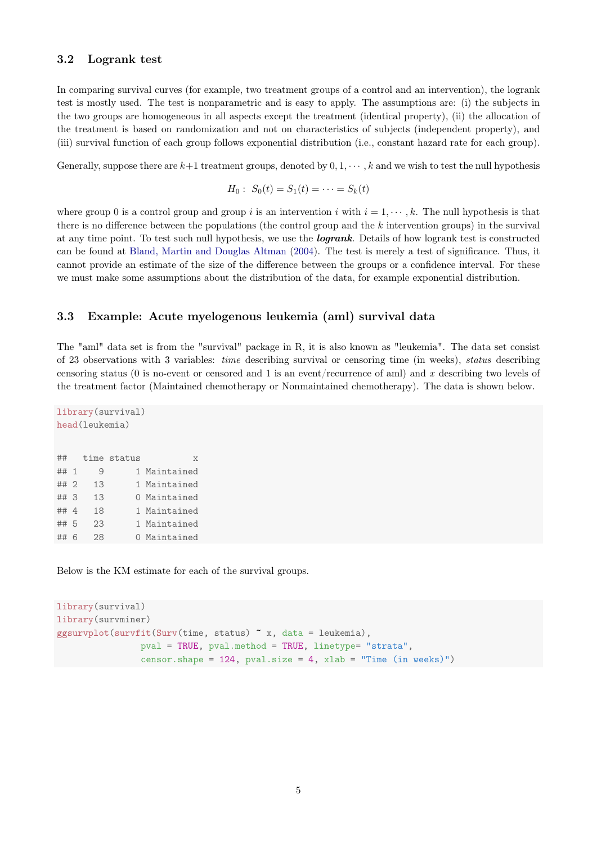#### 3.2 Logrank test

In comparing survival curves (for example, two treatment groups of a control and an intervention), the logrank test is mostly used. The test is nonparametric and is easy to apply. The assumptions are: (i) the subjects in the two groups are homogeneous in all aspects except the treatment (identical property), (ii) the allocation of the treatment is based on randomization and not on characteristics of subjects (independent property), and (iii) survival function of each group follows exponential distribution (i.e., constant hazard rate for each group).

Generally, suppose there are  $k+1$  treatment groups, denoted by  $0, 1, \dots, k$  and we wish to test the null hypothesis

$$
H_0: S_0(t) = S_1(t) = \cdots = S_k(t)
$$

where group 0 is a control group and group i is an intervention i with  $i = 1, \dots, k$ . The null hypothesis is that there is no difference between the populations (the control group and the k intervention groups) in the survival at any time point. To test such null hypothesis, we use the **logrank**. Details of how logrank test is constructed can be found at [Bland, Martin and Douglas Altman](#page-9-1) [\(2004\)](#page-9-1). The test is merely a test of significance. Thus, it cannot provide an estimate of the size of the difference between the groups or a confidence interval. For these we must make some assumptions about the distribution of the data, for example exponential distribution.

#### 3.3 Example: Acute myelogenous leukemia (aml) survival data

The "aml" data set is from the "survival" package in R, it is also known as "leukemia". The data set consist of 23 observations with 3 variables: time describing survival or censoring time (in weeks), status describing censoring status (0 is no-event or censored and 1 is an event/recurrence of aml) and x describing two levels of the treatment factor (Maintained chemotherapy or Nonmaintained chemotherapy). The data is shown below.

```
library(survival)
head(leukemia)
## time status x
## 1 9 1 Maintained
## 2 13 1 Maintained
## 3 13 0 Maintained
## 4 18 1 Maintained
## 5 23 1 Maintained
## 6 28 0 Maintained
```
Below is the KM estimate for each of the survival groups.

```
library(survival)
library(survminer)
ggsurvplot(survfit(Surv(time, status) x, data = leukemia),
                pval = TRUE, pval.method = TRUE, linetype= "strata",
                censor.shape = 124, pval.size = 4, xlab = "Time (in weeks)")
```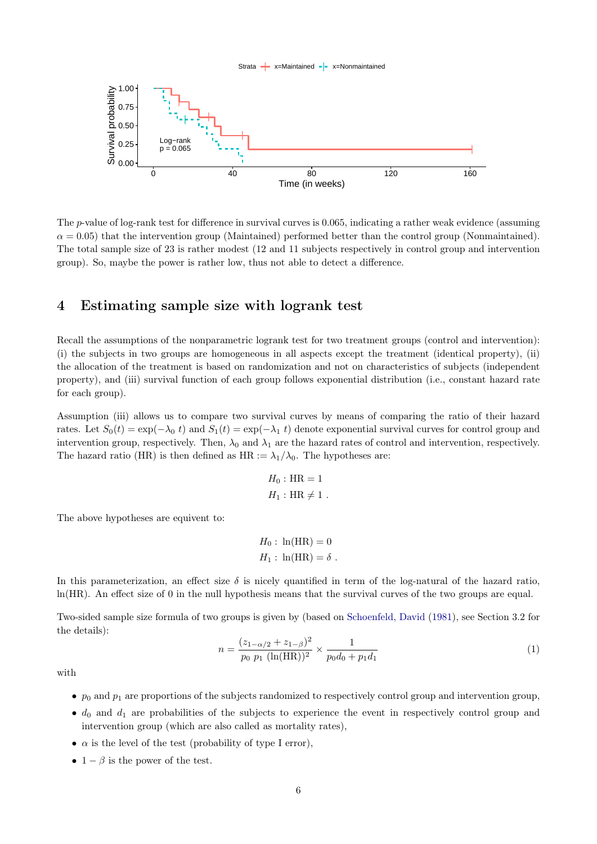#### Strata  $\leftarrow$  x=Maintained  $\leftarrow$  x=Nonmaintained



The p-value of log-rank test for difference in survival curves is 0.065, indicating a rather weak evidence (assuming  $\alpha = 0.05$ ) that the intervention group (Maintained) performed better than the control group (Nonmaintained). The total sample size of 23 is rather modest (12 and 11 subjects respectively in control group and intervention group). So, maybe the power is rather low, thus not able to detect a difference.

# 4 Estimating sample size with logrank test

Recall the assumptions of the nonparametric logrank test for two treatment groups (control and intervention): (i) the subjects in two groups are homogeneous in all aspects except the treatment (identical property), (ii) the allocation of the treatment is based on randomization and not on characteristics of subjects (independent property), and (iii) survival function of each group follows exponential distribution (i.e., constant hazard rate for each group).

Assumption (iii) allows us to compare two survival curves by means of comparing the ratio of their hazard rates. Let  $S_0(t) = \exp(-\lambda_0 t)$  and  $S_1(t) = \exp(-\lambda_1 t)$  denote exponential survival curves for control group and intervention group, respectively. Then,  $\lambda_0$  and  $\lambda_1$  are the hazard rates of control and intervention, respectively. The hazard ratio (HR) is then defined as HR :=  $\lambda_1/\lambda_0$ . The hypotheses are:

$$
H_0: \text{HR} = 1
$$

$$
H_1: \text{HR} \neq 1.
$$

The above hypotheses are equivent to:

$$
H_0: \ln(\text{HR}) = 0
$$
  

$$
H_1: \ln(\text{HR}) = \delta.
$$

In this parameterization, an effect size  $\delta$  is nicely quantified in term of the log-natural of the hazard ratio, ln(HR). An effect size of 0 in the null hypothesis means that the survival curves of the two groups are equal.

<span id="page-5-0"></span>Two-sided sample size formula of two groups is given by (based on [Schoenfeld, David](#page-9-2) [\(1981\)](#page-9-2), see Section 3.2 for the details):

$$
n = \frac{(z_{1-\alpha/2} + z_{1-\beta})^2}{p_0 \ p_1 \ (\ln(\text{HR}))^2} \times \frac{1}{p_0 d_0 + p_1 d_1} \tag{1}
$$

with

- $p_0$  and  $p_1$  are proportions of the subjects randomized to respectively control group and intervention group,
- $\bullet$  d<sub>0</sub> and  $d_1$  are probabilities of the subjects to experience the event in respectively control group and intervention group (which are also called as mortality rates),
- $\alpha$  is the level of the test (probability of type I error).
- $1 \beta$  is the power of the test.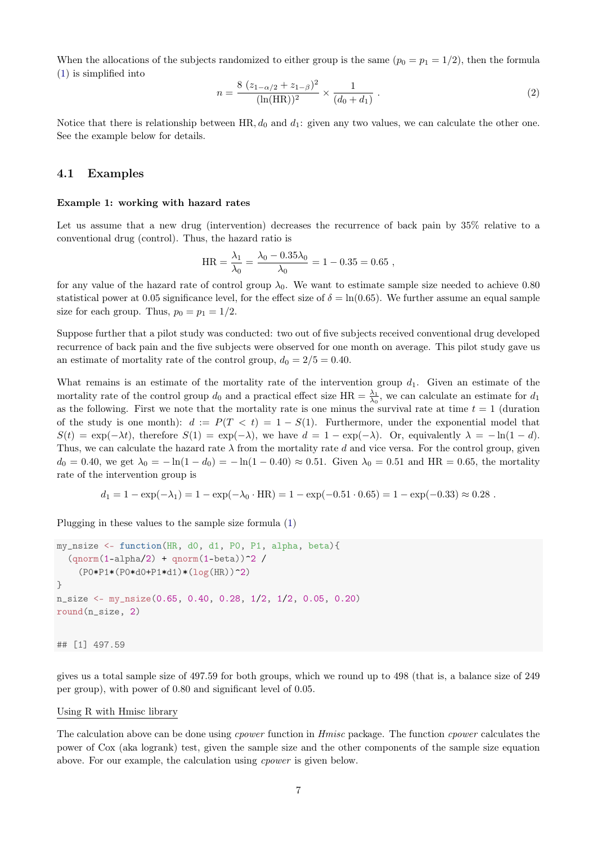When the allocations of the subjects randomized to either group is the same  $(p_0 = p_1 = 1/2)$ , then the formula [\(1\)](#page-5-0) is simplified into

$$
n = \frac{8 (z_{1-\alpha/2} + z_{1-\beta})^2}{(\ln(\text{HR}))^2} \times \frac{1}{(d_0 + d_1)} \tag{2}
$$

Notice that there is relationship between HR,  $d_0$  and  $d_1$ : given any two values, we can calculate the other one. See the example below for details.

#### 4.1 Examples

#### Example 1: working with hazard rates

Let us assume that a new drug (intervention) decreases the recurrence of back pain by 35% relative to a conventional drug (control). Thus, the hazard ratio is

$$
HR = \frac{\lambda_1}{\lambda_0} = \frac{\lambda_0 - 0.35\lambda_0}{\lambda_0} = 1 - 0.35 = 0.65,
$$

for any value of the hazard rate of control group  $\lambda_0$ . We want to estimate sample size needed to achieve 0.80 statistical power at 0.05 significance level, for the effect size of  $\delta = \ln(0.65)$ . We further assume an equal sample size for each group. Thus,  $p_0 = p_1 = 1/2$ .

Suppose further that a pilot study was conducted: two out of five subjects received conventional drug developed recurrence of back pain and the five subjects were observed for one month on average. This pilot study gave us an estimate of mortality rate of the control group,  $d_0 = 2/5 = 0.40$ .

What remains is an estimate of the mortality rate of the intervention group  $d_1$ . Given an estimate of the mortality rate of the control group  $d_0$  and a practical effect size  $HR = \frac{\lambda_1}{\lambda_0}$ , we can calculate an estimate for  $d_1$ as the following. First we note that the mortality rate is one minus the survival rate at time  $t = 1$  (duration of the study is one month):  $d := P(T < t) = 1 - S(1)$ . Furthermore, under the exponential model that  $S(t) = \exp(-\lambda t)$ , therefore  $S(1) = \exp(-\lambda)$ , we have  $d = 1 - \exp(-\lambda)$ . Or, equivalently  $\lambda = -\ln(1 - d)$ . Thus, we can calculate the hazard rate  $\lambda$  from the mortality rate d and vice versa. For the control group, given  $d_0 = 0.40$ , we get  $\lambda_0 = -\ln(1 - d_0) = -\ln(1 - 0.40) \approx 0.51$ . Given  $\lambda_0 = 0.51$  and HR = 0.65, the mortality rate of the intervention group is

$$
d_1 = 1 - \exp(-\lambda_1) = 1 - \exp(-\lambda_0 \cdot \text{HR}) = 1 - \exp(-0.51 \cdot 0.65) = 1 - \exp(-0.33) \approx 0.28
$$

Plugging in these values to the sample size formula [\(1\)](#page-5-0)

```
my_nsize <- function(HR, d0, d1, P0, P1, alpha, beta){
  \text{(qnorm(1-alpha/2) + qnorm(1-beta))^2}(P0*P1*(P0*d0+P1*d1)*(log(HR))^2)
}
n_size <- my_nsize(0.65, 0.40, 0.28, 1/2, 1/2, 0.05, 0.20)
round(n_size, 2)
## [1] 497.59
```
gives us a total sample size of 497.59 for both groups, which we round up to 498 (that is, a balance size of 249 per group), with power of 0.80 and significant level of 0.05.

#### Using R with Hmisc library

The calculation above can be done using *coower* function in *Hmisc* package. The function *coower* calculates the power of Cox (aka logrank) test, given the sample size and the other components of the sample size equation above. For our example, the calculation using cpower is given below.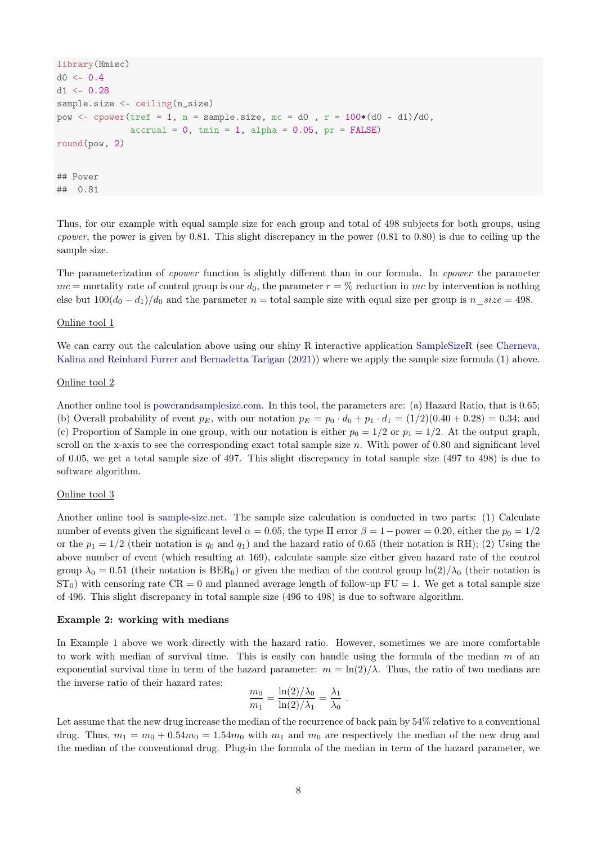```
library(Hmisc)
d0 < -0.4d1 <- 0.28
sample.size <- ceiling(n_size)
pow <- cpower(tref = 1, n = sample.size, mc = d0 , r = 100*(d0 - d1)/d0,
                \text{accrual} = 0, \text{tmin} = 1, \text{alpha} = 0.05, \text{pr} = \text{FALSE})
round(pow, 2)
## Power
## 0.81
```
Thus, for our example with equal sample size for each group and total of 498 subjects for both groups, using *cpower*, the power is given by 0.81. This slight discrepancy in the power  $(0.81 \text{ to } 0.80)$  is due to ceiling up the sample size.

The parameterization of *cpower* function is slightly different than in our formula. In *cpower* the parameter  $mc =$  mortality rate of control group is our  $d_0$ , the parameter  $r = %$  reduction in mc by intervention is nothing else but  $100(d_0 - d_1)/d_0$  and the parameter  $n =$  total sample size with equal size per group is  $n$  size = 498.

#### Online tool 1

We can carry out the calculation above using our shiny R interactive application [SampleSizeR](http://shiny.math.uzh.ch/git/reinhard.furrer/SampleSizeR/) (see [Cherneva,](#page-9-3) [Kalina and Reinhard Furrer and Bernadetta Tarigan](#page-9-3) [\(2021\)](#page-9-3)) where we apply the sample size formula [\(1\)](#page-5-0) above.

#### Online tool 2

Another online tool is [powerandsamplesize.com.](http://powerandsamplesize.com/Calculators/Test-Time-To-Event-Data/Cox-PH-2-Sided-Equality) In this tool, the parameters are: (a) Hazard Ratio, that is 0.65; (b) Overall probability of event  $p_E$ , with our notation  $p_E = p_0 \cdot d_0 + p_1 \cdot d_1 = (1/2)(0.40 + 0.28) = 0.34$ ; and (c) Proportion of Sample in one group, with our notation is either  $p_0 = 1/2$  or  $p_1 = 1/2$ . At the output graph, scroll on the x-axis to see the corresponding exact total sample size  $n$ . With power of 0.80 and significant level of 0.05, we get a total sample size of 497. This slight discrepancy in total sample size (497 to 498) is due to software algorithm.

#### Online tool 3

Another online tool is [sample-size.net.](http://sample-size.net/sample-size-survival-analysis/) The sample size calculation is conducted in two parts: (1) Calculate number of events given the significant level  $\alpha = 0.05$ , the type II error  $\beta = 1$  – power = 0.20, either the  $p_0 = 1/2$ or the  $p_1 = 1/2$  (their notation is  $q_0$  and  $q_1$ ) and the hazard ratio of 0.65 (their notation is RH); (2) Using the above number of event (which resulting at 169), calculate sample size either given hazard rate of the control group  $\lambda_0 = 0.51$  (their notation is BER<sub>0</sub>) or given the median of the control group  $\ln(2)/\lambda_0$  (their notation is  $ST_0$ ) with censoring rate  $CR = 0$  and planned average length of follow-up  $FU = 1$ . We get a total sample size of 496. This slight discrepancy in total sample size (496 to 498) is due to software algorithm.

#### Example 2: working with medians

In Example 1 above we work directly with the hazard ratio. However, sometimes we are more comfortable to work with median of survival time. This is easily can handle using the formula of the median  $m$  of an exponential survival time in term of the hazard parameter:  $m = \ln(2)/\lambda$ . Thus, the ratio of two medians are the inverse ratio of their hazard rates:

$$
\frac{m_0}{m_1} = \frac{\ln(2)/\lambda_0}{\ln(2)/\lambda_1} = \frac{\lambda_1}{\lambda_0} \; .
$$

Let assume that the new drug increase the median of the recurrence of back pain by 54% relative to a conventional drug. Thus,  $m_1 = m_0 + 0.54m_0 = 1.54m_0$  with  $m_1$  and  $m_0$  are respectively the median of the new drug and the median of the conventional drug. Plug-in the formula of the median in term of the hazard parameter, we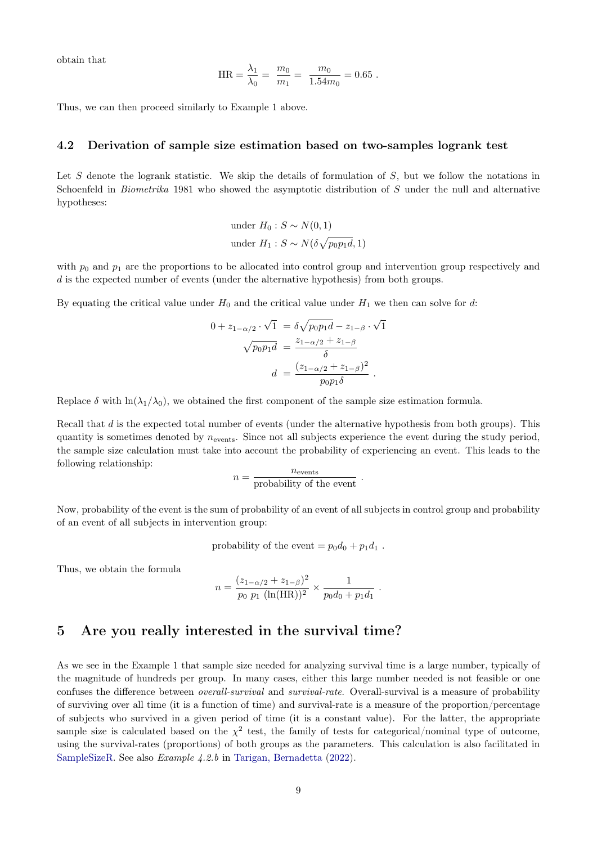obtain that

HR = 
$$
\frac{\lambda_1}{\lambda_0}
$$
 =  $\frac{m_0}{m_1}$  =  $\frac{m_0}{1.54m_0}$  = 0.65.

Thus, we can then proceed similarly to Example 1 above.

#### 4.2 Derivation of sample size estimation based on two-samples logrank test

Let S denote the logrank statistic. We skip the details of formulation of  $S$ , but we follow the notations in Schoenfeld in *Biometrika* 1981 who showed the asymptotic distribution of S under the null and alternative hypotheses:

under 
$$
H_0: S \sim N(0, 1)
$$
  
under  $H_1: S \sim N(\delta \sqrt{p_0 p_1 d}, 1)$ 

with  $p_0$  and  $p_1$  are the proportions to be allocated into control group and intervention group respectively and  $d$  is the expected number of events (under the alternative hypothesis) from both groups.

By equating the critical value under  $H_0$  and the critical value under  $H_1$  we then can solve for d:

$$
0 + z_{1-\alpha/2} \cdot \sqrt{1} = \delta \sqrt{p_0 p_1 d} - z_{1-\beta} \cdot \sqrt{1}
$$

$$
\sqrt{p_0 p_1 d} = \frac{z_{1-\alpha/2} + z_{1-\beta}}{\delta}
$$

$$
d = \frac{(z_{1-\alpha/2} + z_{1-\beta})^2}{p_0 p_1 \delta}.
$$

Replace  $\delta$  with  $\ln(\lambda_1/\lambda_0)$ , we obtained the first component of the sample size estimation formula.

Recall that d is the expected total number of events (under the alternative hypothesis from both groups). This quantity is sometimes denoted by  $n_{\text{events}}$ . Since not all subjects experience the event during the study period, the sample size calculation must take into account the probability of experiencing an event. This leads to the following relationship:

$$
n = \frac{n_{\text{events}}}{\text{probability of the event}}.
$$

Now, probability of the event is the sum of probability of an event of all subjects in control group and probability of an event of all subjects in intervention group:

probability of the event = 
$$
p_0d_0 + p_1d_1
$$
.

Thus, we obtain the formula

$$
n = \frac{(z_{1-\alpha/2} + z_{1-\beta})^2}{p_0 \ p_1 \ (\ln(\text{HR}))^2} \times \frac{1}{p_0 d_0 + p_1 d_1} \ .
$$

# 5 Are you really interested in the survival time?

As we see in the Example 1 that sample size needed for analyzing survival time is a large number, typically of the magnitude of hundreds per group. In many cases, either this large number needed is not feasible or one confuses the difference between overall-survival and survival-rate. Overall-survival is a measure of probability of surviving over all time (it is a function of time) and survival-rate is a measure of the proportion/percentage of subjects who survived in a given period of time (it is a constant value). For the latter, the appropriate sample size is calculated based on the  $\chi^2$  test, the family of tests for categorical/nominal type of outcome, using the survival-rates (proportions) of both groups as the parameters. This calculation is also facilitated in [SampleSizeR.](http://shiny.math.uzh.ch/git/reinhard.furrer/SampleSizeR/) See also Example 4.2.b in [Tarigan, Bernadetta](#page-9-4) [\(2022\)](#page-9-4).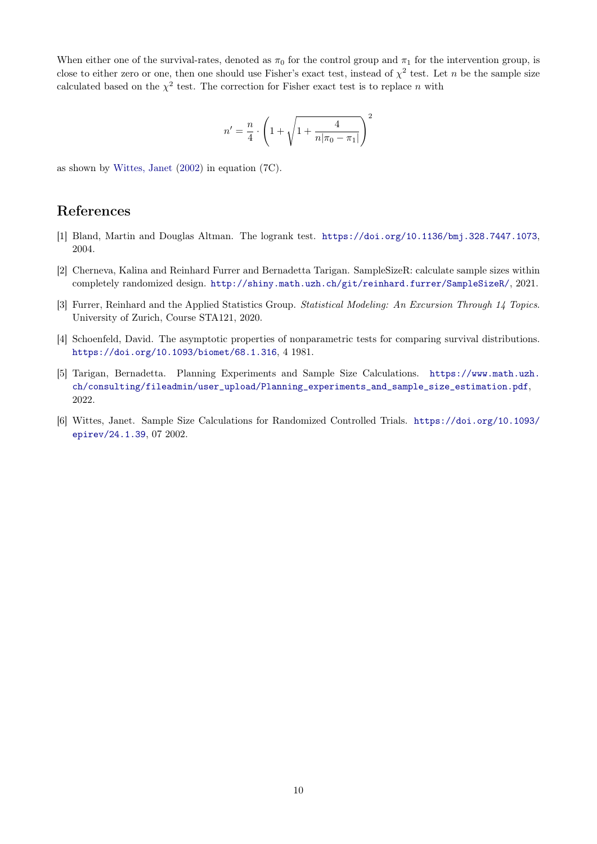When either one of the survival-rates, denoted as  $\pi_0$  for the control group and  $\pi_1$  for the intervention group, is close to either zero or one, then one should use Fisher's exact test, instead of  $\chi^2$  test. Let n be the sample size calculated based on the  $\chi^2$  test. The correction for Fisher exact test is to replace n with

$$
n'=\frac{n}{4}\cdot\left(1+\sqrt{1+\frac{4}{n|\pi_0-\pi_1|}}\right)^2
$$

as shown by [Wittes, Janet](#page-9-5) [\(2002\)](#page-9-5) in equation (7C).

### References

- <span id="page-9-1"></span>[1] Bland, Martin and Douglas Altman. The logrank test. <https://doi.org/10.1136/bmj.328.7447.1073>, 2004.
- <span id="page-9-3"></span>[2] Cherneva, Kalina and Reinhard Furrer and Bernadetta Tarigan. SampleSizeR: calculate sample sizes within completely randomized design. <http://shiny.math.uzh.ch/git/reinhard.furrer/SampleSizeR/>, 2021.
- <span id="page-9-0"></span>[3] Furrer, Reinhard and the Applied Statistics Group. Statistical Modeling: An Excursion Through 14 Topics. University of Zurich, Course STA121, 2020.
- <span id="page-9-2"></span>[4] Schoenfeld, David. The asymptotic properties of nonparametric tests for comparing survival distributions. <https://doi.org/10.1093/biomet/68.1.316>, 4 1981.
- <span id="page-9-4"></span>[5] Tarigan, Bernadetta. Planning Experiments and Sample Size Calculations. [https://www.math.uzh.](https://www.math.uzh.ch/consulting/fileadmin/user_upload/Planning_experiments_and_sample_size_estimation.pdf)  ${\tt ch/consulting/fileadmin/user\_upload/Planning\_experiments\_and\_sample\_size\_estimation.pdf},$ 2022.
- <span id="page-9-5"></span>[6] Wittes, Janet. Sample Size Calculations for Randomized Controlled Trials. [https://doi.org/10.1093/](https://doi.org/10.1093/epirev/24.1.39) [epirev/24.1.39](https://doi.org/10.1093/epirev/24.1.39), 07 2002.